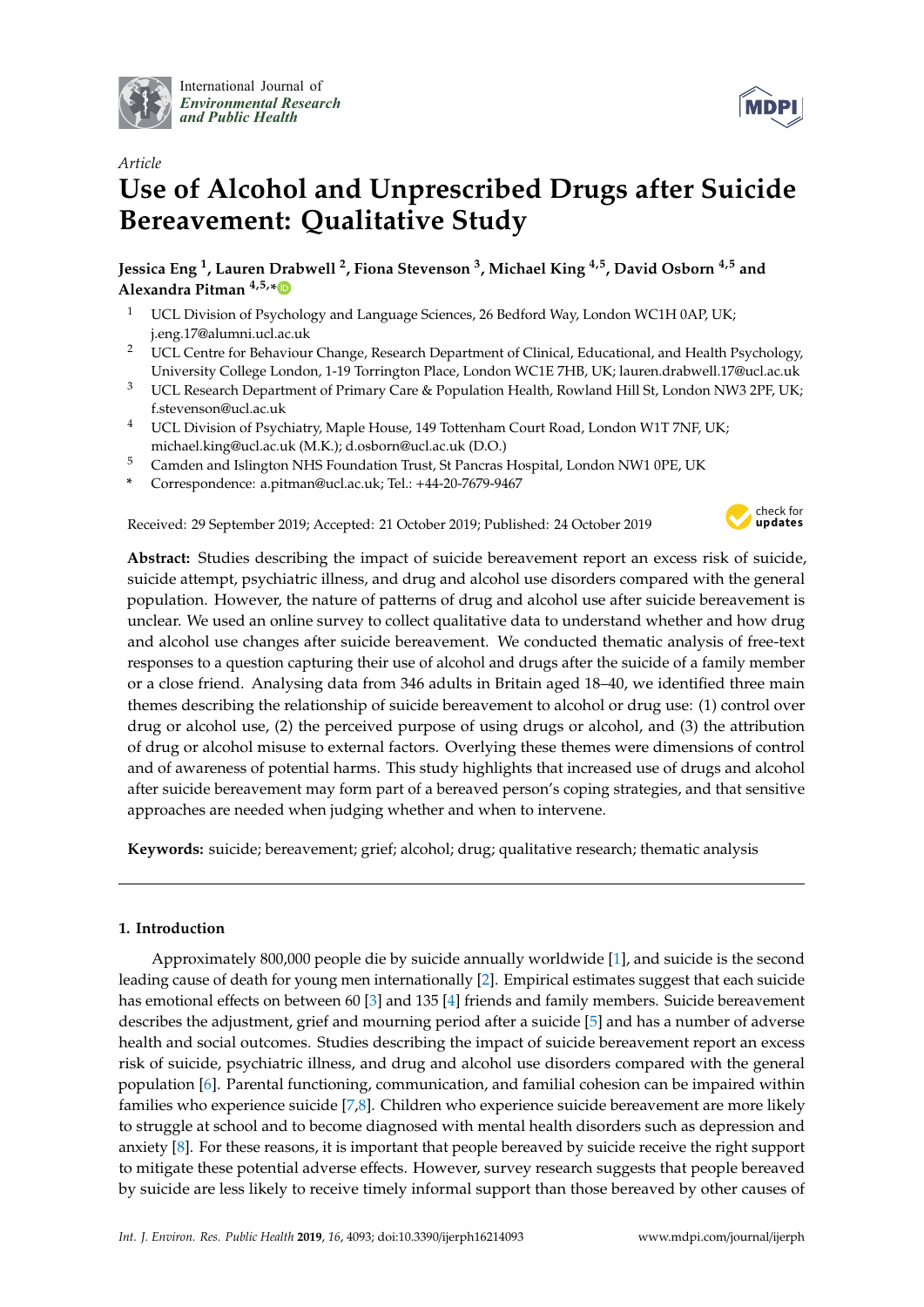

International Journal of *[Environmental Research](http://www.mdpi.com/journal/ijerph) and Public Health*



# *Article* **Use of Alcohol and Unprescribed Drugs after Suicide Bereavement: Qualitative Study**

**Jessica Eng <sup>1</sup> , Lauren Drabwell <sup>2</sup> , Fiona Stevenson <sup>3</sup> , Michael King 4,5, David Osborn 4,5 and Alexandra Pitman 4,5,[\\*](https://orcid.org/0000-0002-9742-1359)**

- <sup>1</sup> UCL Division of Psychology and Language Sciences, 26 Bedford Way, London WC1H 0AP, UK; j.eng.17@alumni.ucl.ac.uk
- <sup>2</sup> UCL Centre for Behaviour Change, Research Department of Clinical, Educational, and Health Psychology, University College London, 1-19 Torrington Place, London WC1E 7HB, UK; lauren.drabwell.17@ucl.ac.uk
- <sup>3</sup> UCL Research Department of Primary Care & Population Health, Rowland Hill St, London NW3 2PF, UK; f.stevenson@ucl.ac.uk
- <sup>4</sup> UCL Division of Psychiatry, Maple House, 149 Tottenham Court Road, London W1T 7NF, UK; michael.king@ucl.ac.uk (M.K.); d.osborn@ucl.ac.uk (D.O.)
- <sup>5</sup> Camden and Islington NHS Foundation Trust, St Pancras Hospital, London NW1 0PE, UK
- **\*** Correspondence: a.pitman@ucl.ac.uk; Tel.: +44-20-7679-9467

Received: 29 September 2019; Accepted: 21 October 2019; Published: 24 October 2019



**Abstract:** Studies describing the impact of suicide bereavement report an excess risk of suicide, suicide attempt, psychiatric illness, and drug and alcohol use disorders compared with the general population. However, the nature of patterns of drug and alcohol use after suicide bereavement is unclear. We used an online survey to collect qualitative data to understand whether and how drug and alcohol use changes after suicide bereavement. We conducted thematic analysis of free-text responses to a question capturing their use of alcohol and drugs after the suicide of a family member or a close friend. Analysing data from 346 adults in Britain aged 18–40, we identified three main themes describing the relationship of suicide bereavement to alcohol or drug use: (1) control over drug or alcohol use, (2) the perceived purpose of using drugs or alcohol, and (3) the attribution of drug or alcohol misuse to external factors. Overlying these themes were dimensions of control and of awareness of potential harms. This study highlights that increased use of drugs and alcohol after suicide bereavement may form part of a bereaved person's coping strategies, and that sensitive approaches are needed when judging whether and when to intervene.

**Keywords:** suicide; bereavement; grief; alcohol; drug; qualitative research; thematic analysis

# **1. Introduction**

Approximately 800,000 people die by suicide annually worldwide [\[1\]](#page-10-0), and suicide is the second leading cause of death for young men internationally [\[2\]](#page-10-1). Empirical estimates suggest that each suicide has emotional effects on between 60 [\[3\]](#page-10-2) and 135 [\[4\]](#page-10-3) friends and family members. Suicide bereavement describes the adjustment, grief and mourning period after a suicide [\[5\]](#page-10-4) and has a number of adverse health and social outcomes. Studies describing the impact of suicide bereavement report an excess risk of suicide, psychiatric illness, and drug and alcohol use disorders compared with the general population [\[6\]](#page-10-5). Parental functioning, communication, and familial cohesion can be impaired within families who experience suicide [\[7,](#page-10-6)[8\]](#page-10-7). Children who experience suicide bereavement are more likely to struggle at school and to become diagnosed with mental health disorders such as depression and anxiety [\[8\]](#page-10-7). For these reasons, it is important that people bereaved by suicide receive the right support to mitigate these potential adverse effects. However, survey research suggests that people bereaved by suicide are less likely to receive timely informal support than those bereaved by other causes of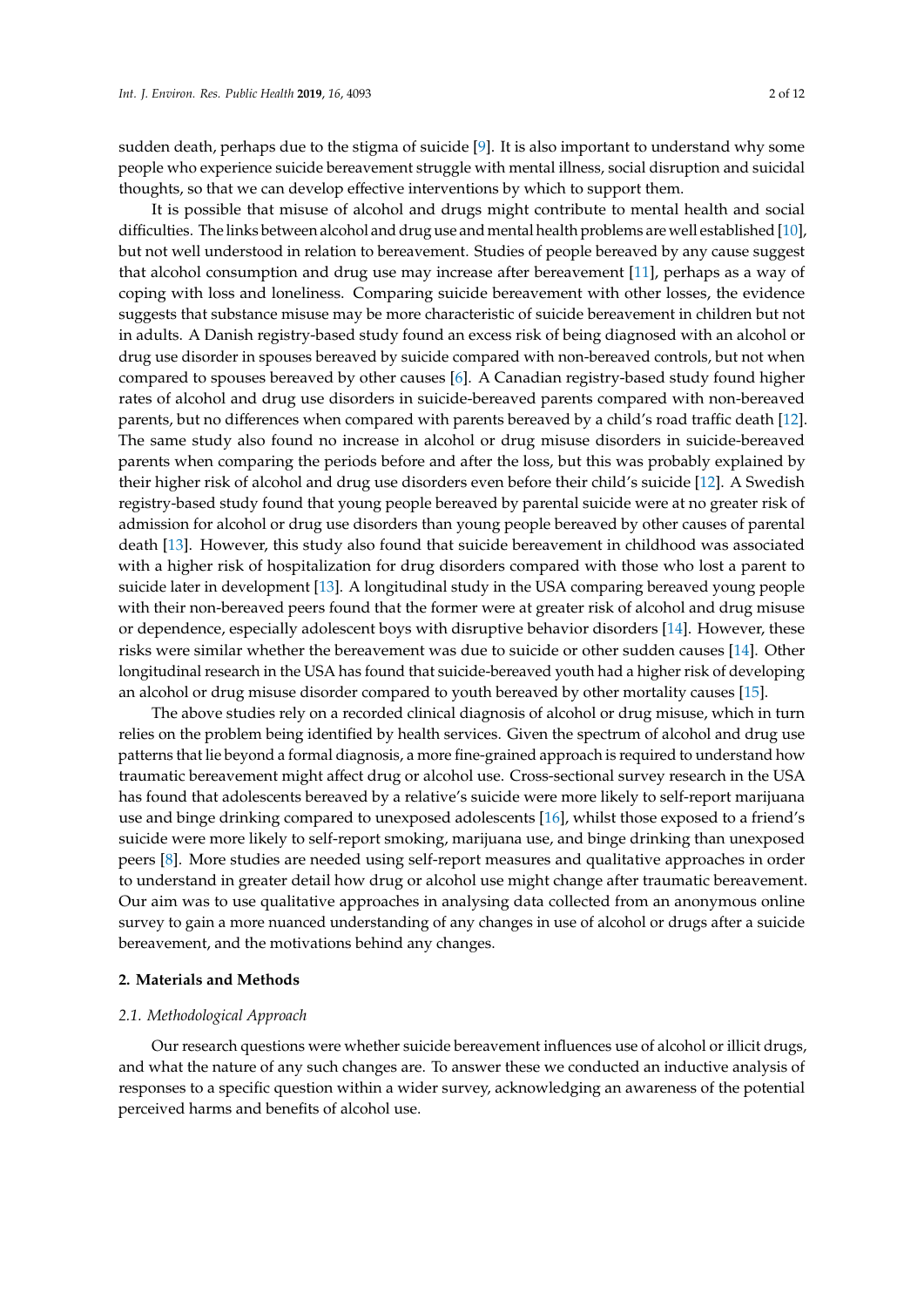sudden death, perhaps due to the stigma of suicide [\[9\]](#page-10-8). It is also important to understand why some people who experience suicide bereavement struggle with mental illness, social disruption and suicidal thoughts, so that we can develop effective interventions by which to support them.

It is possible that misuse of alcohol and drugs might contribute to mental health and social difficulties. The links between alcohol and drug use and mental health problems are well established [\[10\]](#page-10-9), but not well understood in relation to bereavement. Studies of people bereaved by any cause suggest that alcohol consumption and drug use may increase after bereavement [\[11\]](#page-10-10), perhaps as a way of coping with loss and loneliness. Comparing suicide bereavement with other losses, the evidence suggests that substance misuse may be more characteristic of suicide bereavement in children but not in adults. A Danish registry-based study found an excess risk of being diagnosed with an alcohol or drug use disorder in spouses bereaved by suicide compared with non-bereaved controls, but not when compared to spouses bereaved by other causes [\[6\]](#page-10-5). A Canadian registry-based study found higher rates of alcohol and drug use disorders in suicide-bereaved parents compared with non-bereaved parents, but no differences when compared with parents bereaved by a child's road traffic death [\[12\]](#page-10-11). The same study also found no increase in alcohol or drug misuse disorders in suicide-bereaved parents when comparing the periods before and after the loss, but this was probably explained by their higher risk of alcohol and drug use disorders even before their child's suicide [\[12\]](#page-10-11). A Swedish registry-based study found that young people bereaved by parental suicide were at no greater risk of admission for alcohol or drug use disorders than young people bereaved by other causes of parental death [\[13\]](#page-10-12). However, this study also found that suicide bereavement in childhood was associated with a higher risk of hospitalization for drug disorders compared with those who lost a parent to suicide later in development [\[13\]](#page-10-12). A longitudinal study in the USA comparing bereaved young people with their non-bereaved peers found that the former were at greater risk of alcohol and drug misuse or dependence, especially adolescent boys with disruptive behavior disorders [\[14\]](#page-10-13). However, these risks were similar whether the bereavement was due to suicide or other sudden causes [\[14\]](#page-10-13). Other longitudinal research in the USA has found that suicide-bereaved youth had a higher risk of developing an alcohol or drug misuse disorder compared to youth bereaved by other mortality causes [\[15\]](#page-10-14).

The above studies rely on a recorded clinical diagnosis of alcohol or drug misuse, which in turn relies on the problem being identified by health services. Given the spectrum of alcohol and drug use patterns that lie beyond a formal diagnosis, a more fine-grained approach is required to understand how traumatic bereavement might affect drug or alcohol use. Cross-sectional survey research in the USA has found that adolescents bereaved by a relative's suicide were more likely to self-report marijuana use and binge drinking compared to unexposed adolescents [\[16\]](#page-10-15), whilst those exposed to a friend's suicide were more likely to self-report smoking, marijuana use, and binge drinking than unexposed peers [\[8\]](#page-10-7). More studies are needed using self-report measures and qualitative approaches in order to understand in greater detail how drug or alcohol use might change after traumatic bereavement. Our aim was to use qualitative approaches in analysing data collected from an anonymous online survey to gain a more nuanced understanding of any changes in use of alcohol or drugs after a suicide bereavement, and the motivations behind any changes.

# **2. Materials and Methods**

#### *2.1. Methodological Approach*

Our research questions were whether suicide bereavement influences use of alcohol or illicit drugs, and what the nature of any such changes are. To answer these we conducted an inductive analysis of responses to a specific question within a wider survey, acknowledging an awareness of the potential perceived harms and benefits of alcohol use.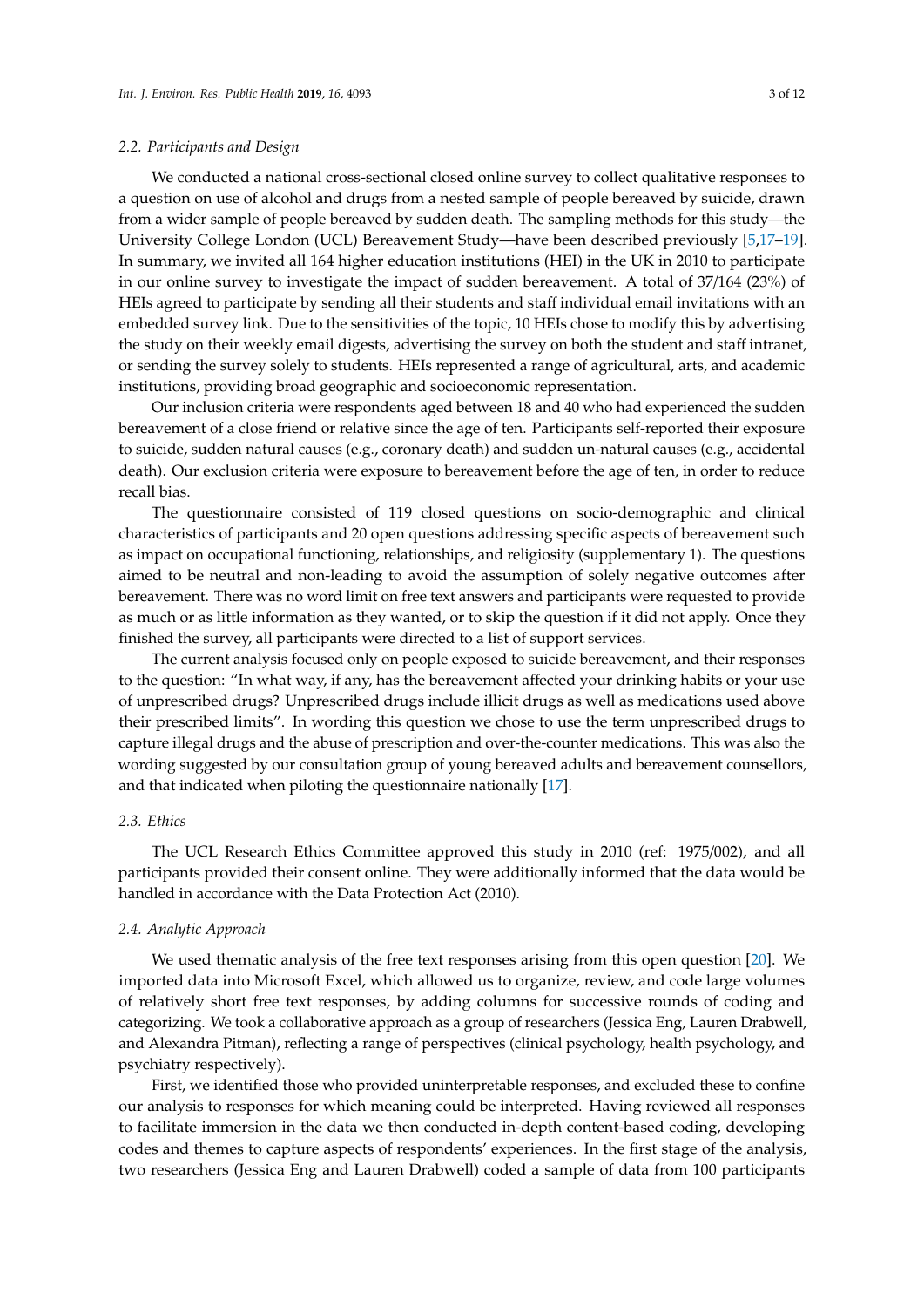# *2.2. Participants and Design*

We conducted a national cross-sectional closed online survey to collect qualitative responses to a question on use of alcohol and drugs from a nested sample of people bereaved by suicide, drawn from a wider sample of people bereaved by sudden death. The sampling methods for this study—the University College London (UCL) Bereavement Study—have been described previously [\[5,](#page-10-4)[17–](#page-10-16)[19\]](#page-10-17). In summary, we invited all 164 higher education institutions (HEI) in the UK in 2010 to participate in our online survey to investigate the impact of sudden bereavement. A total of 37/164 (23%) of HEIs agreed to participate by sending all their students and staff individual email invitations with an embedded survey link. Due to the sensitivities of the topic, 10 HEIs chose to modify this by advertising the study on their weekly email digests, advertising the survey on both the student and staff intranet, or sending the survey solely to students. HEIs represented a range of agricultural, arts, and academic institutions, providing broad geographic and socioeconomic representation.

Our inclusion criteria were respondents aged between 18 and 40 who had experienced the sudden bereavement of a close friend or relative since the age of ten. Participants self-reported their exposure to suicide, sudden natural causes (e.g., coronary death) and sudden un-natural causes (e.g., accidental death). Our exclusion criteria were exposure to bereavement before the age of ten, in order to reduce recall bias.

The questionnaire consisted of 119 closed questions on socio-demographic and clinical characteristics of participants and 20 open questions addressing specific aspects of bereavement such as impact on occupational functioning, relationships, and religiosity (supplementary 1). The questions aimed to be neutral and non-leading to avoid the assumption of solely negative outcomes after bereavement. There was no word limit on free text answers and participants were requested to provide as much or as little information as they wanted, or to skip the question if it did not apply. Once they finished the survey, all participants were directed to a list of support services.

The current analysis focused only on people exposed to suicide bereavement, and their responses to the question: "In what way, if any, has the bereavement affected your drinking habits or your use of unprescribed drugs? Unprescribed drugs include illicit drugs as well as medications used above their prescribed limits". In wording this question we chose to use the term unprescribed drugs to capture illegal drugs and the abuse of prescription and over-the-counter medications. This was also the wording suggested by our consultation group of young bereaved adults and bereavement counsellors, and that indicated when piloting the questionnaire nationally [\[17\]](#page-10-16).

# *2.3. Ethics*

The UCL Research Ethics Committee approved this study in 2010 (ref: 1975/002), and all participants provided their consent online. They were additionally informed that the data would be handled in accordance with the Data Protection Act (2010).

# *2.4. Analytic Approach*

We used thematic analysis of the free text responses arising from this open question [\[20\]](#page-10-18). We imported data into Microsoft Excel, which allowed us to organize, review, and code large volumes of relatively short free text responses, by adding columns for successive rounds of coding and categorizing. We took a collaborative approach as a group of researchers (Jessica Eng, Lauren Drabwell, and Alexandra Pitman), reflecting a range of perspectives (clinical psychology, health psychology, and psychiatry respectively).

First, we identified those who provided uninterpretable responses, and excluded these to confine our analysis to responses for which meaning could be interpreted. Having reviewed all responses to facilitate immersion in the data we then conducted in-depth content-based coding, developing codes and themes to capture aspects of respondents' experiences. In the first stage of the analysis, two researchers (Jessica Eng and Lauren Drabwell) coded a sample of data from 100 participants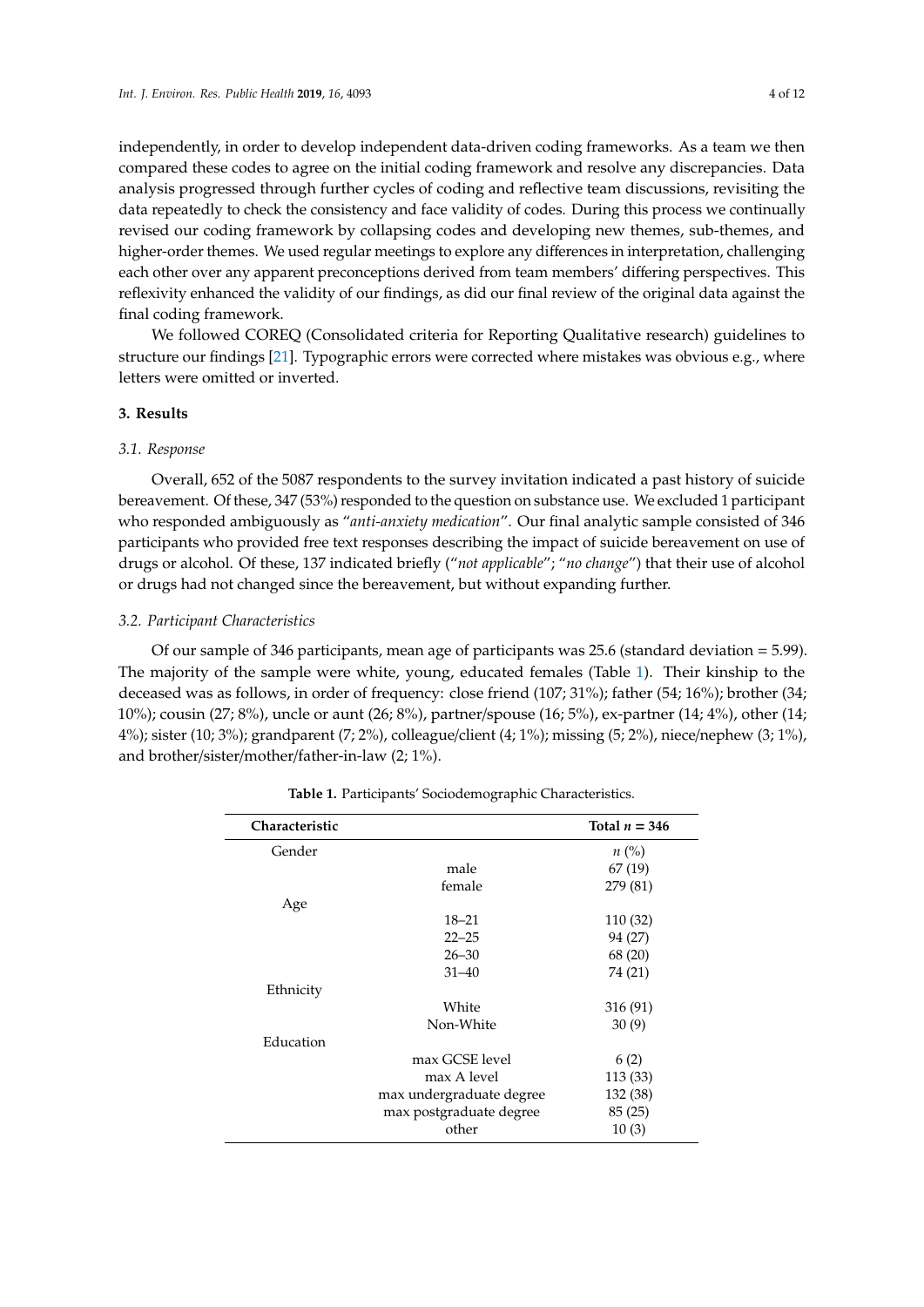independently, in order to develop independent data-driven coding frameworks. As a team we then compared these codes to agree on the initial coding framework and resolve any discrepancies. Data analysis progressed through further cycles of coding and reflective team discussions, revisiting the data repeatedly to check the consistency and face validity of codes. During this process we continually revised our coding framework by collapsing codes and developing new themes, sub-themes, and higher-order themes. We used regular meetings to explore any differences in interpretation, challenging each other over any apparent preconceptions derived from team members' differing perspectives. This reflexivity enhanced the validity of our findings, as did our final review of the original data against the final coding framework.

We followed COREQ (Consolidated criteria for Reporting Qualitative research) guidelines to structure our findings [\[21\]](#page-10-19). Typographic errors were corrected where mistakes was obvious e.g., where letters were omitted or inverted.

# **3. Results**

# *3.1. Response*

Overall, 652 of the 5087 respondents to the survey invitation indicated a past history of suicide bereavement. Of these, 347 (53%) responded to the question on substance use. We excluded 1 participant who responded ambiguously as "*anti-anxiety medication*". Our final analytic sample consisted of 346 participants who provided free text responses describing the impact of suicide bereavement on use of drugs or alcohol. Of these, 137 indicated briefly ("*not applicable*"; "*no change*") that their use of alcohol or drugs had not changed since the bereavement, but without expanding further.

#### *3.2. Participant Characteristics*

Of our sample of 346 participants, mean age of participants was 25.6 (standard deviation = 5.99). The majority of the sample were white, young, educated females (Table [1\)](#page-3-0). Their kinship to the deceased was as follows, in order of frequency: close friend (107; 31%); father (54; 16%); brother (34; 10%); cousin (27; 8%), uncle or aunt (26; 8%), partner/spouse (16; 5%), ex-partner (14; 4%), other (14; 4%); sister (10; 3%); grandparent (7; 2%), colleague/client (4; 1%); missing (5; 2%), niece/nephew (3; 1%), and brother/sister/mother/father-in-law (2; 1%).

<span id="page-3-0"></span>

| <b>Characteristic</b> |                          | Total $n = 346$ |
|-----------------------|--------------------------|-----------------|
| Gender                |                          | $n\ (\%)$       |
|                       | male                     | 67 (19)         |
|                       | female                   | 279 (81)        |
| Age                   |                          |                 |
|                       | $18 - 21$                | 110 (32)        |
|                       | $22 - 25$                | 94 (27)         |
|                       | $26 - 30$                | 68 (20)         |
|                       | $31 - 40$                | 74 (21)         |
| Ethnicity             |                          |                 |
|                       | White                    | 316 (91)        |
|                       | Non-White                | 30(9)           |
| Education             |                          |                 |
|                       | max GCSE level           | 6(2)            |
|                       | max A level              | 113 (33)        |
|                       | max undergraduate degree | 132 (38)        |
|                       | max postgraduate degree  | 85(25)          |
|                       | other                    | 10(3)           |

**Table 1.** Participants' Sociodemographic Characteristics.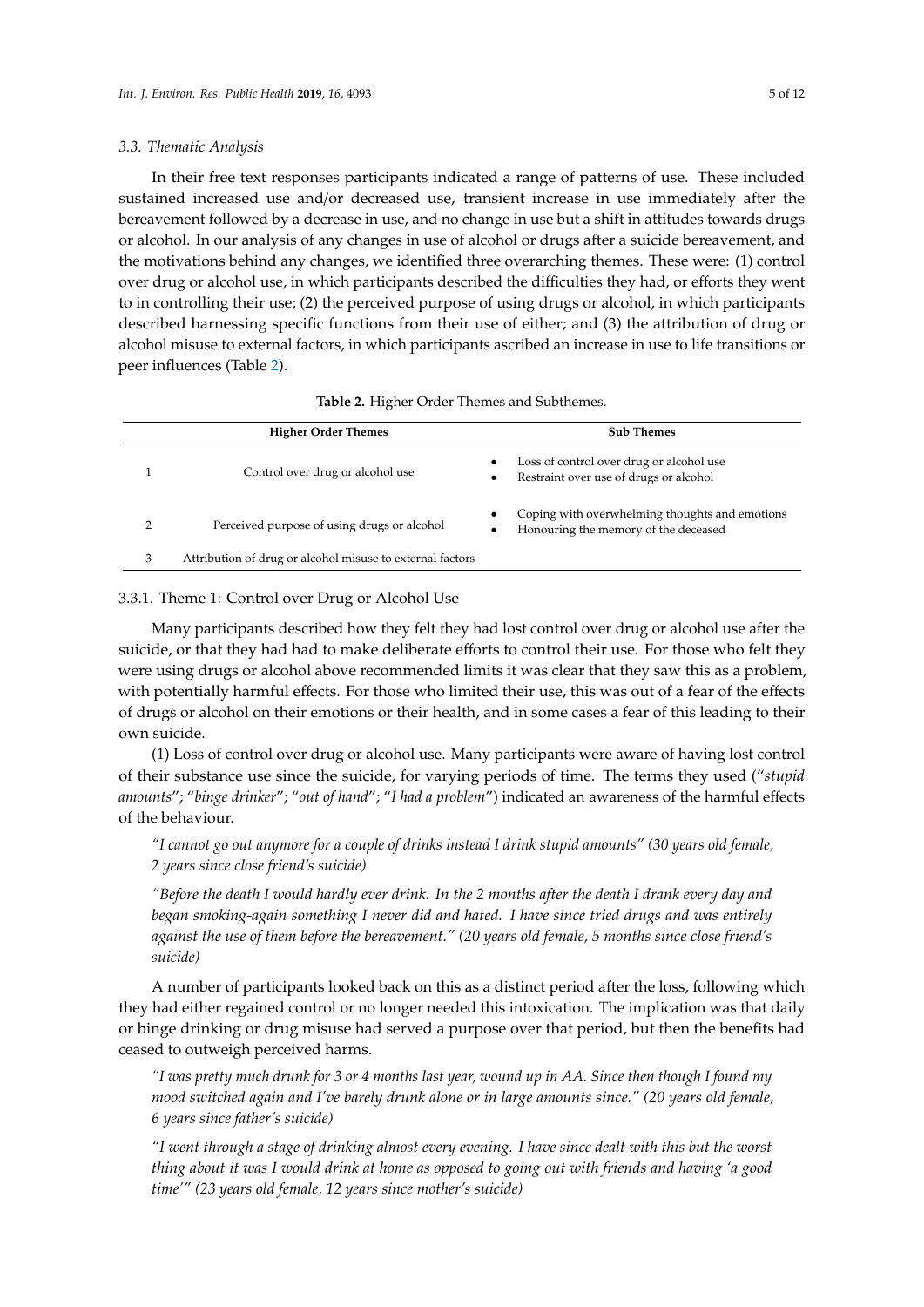#### *3.3. Thematic Analysis*

In their free text responses participants indicated a range of patterns of use. These included sustained increased use and/or decreased use, transient increase in use immediately after the bereavement followed by a decrease in use, and no change in use but a shift in attitudes towards drugs or alcohol. In our analysis of any changes in use of alcohol or drugs after a suicide bereavement, and the motivations behind any changes, we identified three overarching themes. These were: (1) control over drug or alcohol use, in which participants described the difficulties they had, or efforts they went to in controlling their use; (2) the perceived purpose of using drugs or alcohol, in which participants described harnessing specific functions from their use of either; and (3) the attribution of drug or alcohol misuse to external factors, in which participants ascribed an increase in use to life transitions or peer influences (Table [2\)](#page-4-0).

|  |  |  |  | <b>Table 2.</b> Higher Order Themes and Subthemes. |  |  |  |
|--|--|--|--|----------------------------------------------------|--|--|--|
|--|--|--|--|----------------------------------------------------|--|--|--|

<span id="page-4-0"></span>

|              | <b>Higher Order Themes</b>                                | <b>Sub Themes</b>                                                                      |
|--------------|-----------------------------------------------------------|----------------------------------------------------------------------------------------|
|              | Control over drug or alcohol use                          | Loss of control over drug or alcohol use<br>Restraint over use of drugs or alcohol     |
| <sup>-</sup> | Perceived purpose of using drugs or alcohol               | Coping with overwhelming thoughts and emotions<br>Honouring the memory of the deceased |
| 3            | Attribution of drug or alcohol misuse to external factors |                                                                                        |

#### 3.3.1. Theme 1: Control over Drug or Alcohol Use

Many participants described how they felt they had lost control over drug or alcohol use after the suicide, or that they had had to make deliberate efforts to control their use. For those who felt they were using drugs or alcohol above recommended limits it was clear that they saw this as a problem, with potentially harmful effects. For those who limited their use, this was out of a fear of the effects of drugs or alcohol on their emotions or their health, and in some cases a fear of this leading to their own suicide.

(1) Loss of control over drug or alcohol use. Many participants were aware of having lost control of their substance use since the suicide, for varying periods of time. The terms they used ("*stupid amounts*"; "*binge drinker*"; "*out of hand*"; "*I had a problem*") indicated an awareness of the harmful effects of the behaviour.

*"I cannot go out anymore for a couple of drinks instead I drink stupid amounts" (30 years old female, 2 years since close friend's suicide)*

*"Before the death I would hardly ever drink. In the 2 months after the death I drank every day and began smoking-again something I never did and hated. I have since tried drugs and was entirely against the use of them before the bereavement." (20 years old female, 5 months since close friend's suicide)*

A number of participants looked back on this as a distinct period after the loss, following which they had either regained control or no longer needed this intoxication. The implication was that daily or binge drinking or drug misuse had served a purpose over that period, but then the benefits had ceased to outweigh perceived harms.

*"I was pretty much drunk for 3 or 4 months last year, wound up in AA. Since then though I found my mood switched again and I've barely drunk alone or in large amounts since." (20 years old female, 6 years since father's suicide)*

*"I went through a stage of drinking almost every evening. I have since dealt with this but the worst thing about it was I would drink at home as opposed to going out with friends and having 'a good time'" (23 years old female, 12 years since mother's suicide)*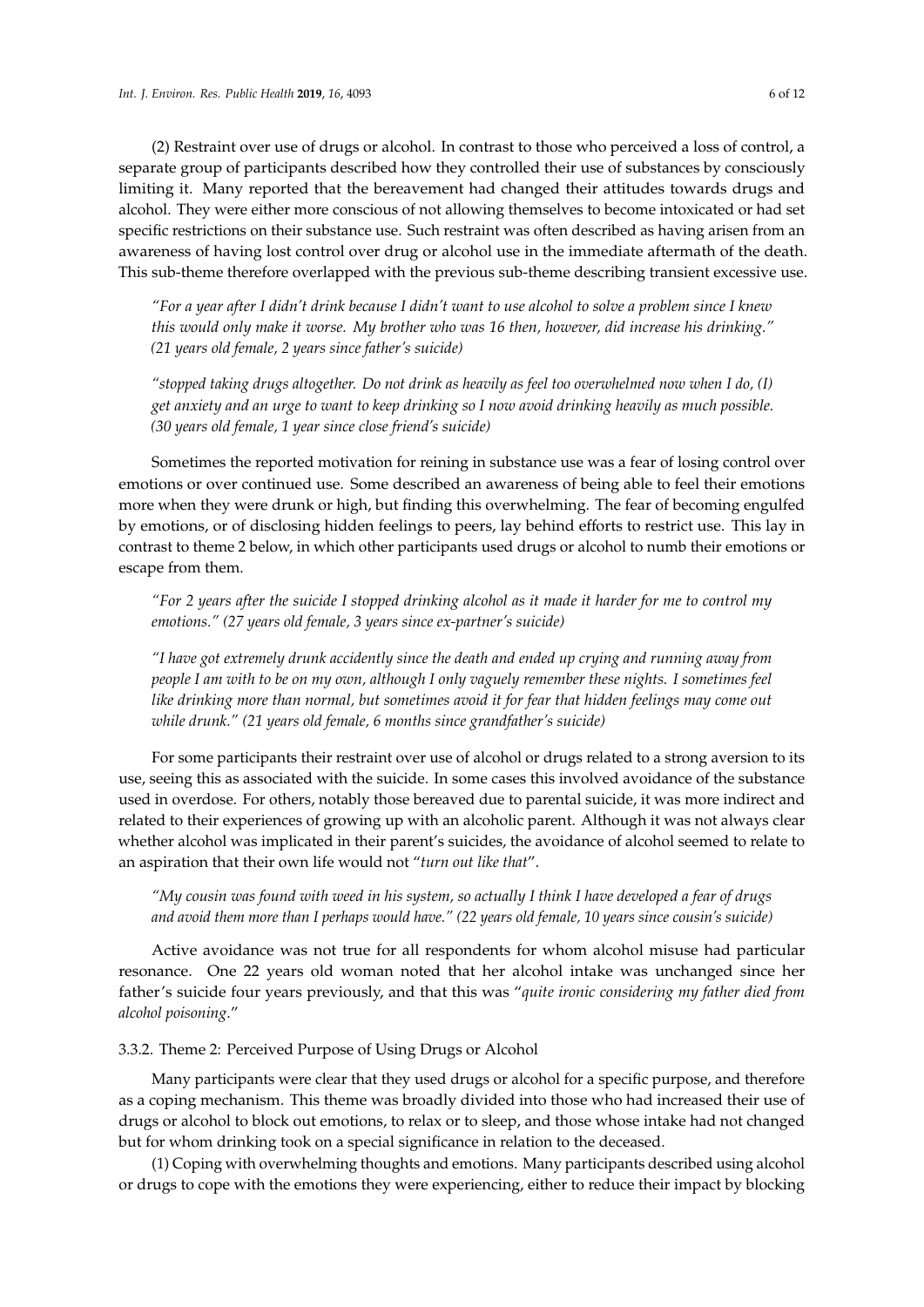(2) Restraint over use of drugs or alcohol. In contrast to those who perceived a loss of control, a separate group of participants described how they controlled their use of substances by consciously limiting it. Many reported that the bereavement had changed their attitudes towards drugs and alcohol. They were either more conscious of not allowing themselves to become intoxicated or had set specific restrictions on their substance use. Such restraint was often described as having arisen from an awareness of having lost control over drug or alcohol use in the immediate aftermath of the death. This sub-theme therefore overlapped with the previous sub-theme describing transient excessive use.

*"For a year after I didn't drink because I didn't want to use alcohol to solve a problem since I knew this would only make it worse. My brother who was 16 then, however, did increase his drinking." (21 years old female, 2 years since father's suicide)*

*"stopped taking drugs altogether. Do not drink as heavily as feel too overwhelmed now when I do, (I) get anxiety and an urge to want to keep drinking so I now avoid drinking heavily as much possible. (30 years old female, 1 year since close friend's suicide)*

Sometimes the reported motivation for reining in substance use was a fear of losing control over emotions or over continued use. Some described an awareness of being able to feel their emotions more when they were drunk or high, but finding this overwhelming. The fear of becoming engulfed by emotions, or of disclosing hidden feelings to peers, lay behind efforts to restrict use. This lay in contrast to theme 2 below, in which other participants used drugs or alcohol to numb their emotions or escape from them.

*"For 2 years after the suicide I stopped drinking alcohol as it made it harder for me to control my emotions." (27 years old female, 3 years since ex-partner's suicide)*

*"I have got extremely drunk accidently since the death and ended up crying and running away from people I am with to be on my own, although I only vaguely remember these nights. I sometimes feel like drinking more than normal, but sometimes avoid it for fear that hidden feelings may come out while drunk." (21 years old female, 6 months since grandfather's suicide)*

For some participants their restraint over use of alcohol or drugs related to a strong aversion to its use, seeing this as associated with the suicide. In some cases this involved avoidance of the substance used in overdose. For others, notably those bereaved due to parental suicide, it was more indirect and related to their experiences of growing up with an alcoholic parent. Although it was not always clear whether alcohol was implicated in their parent's suicides, the avoidance of alcohol seemed to relate to an aspiration that their own life would not "*turn out like that*".

*"My cousin was found with weed in his system, so actually I think I have developed a fear of drugs and avoid them more than I perhaps would have." (22 years old female, 10 years since cousin's suicide)*

Active avoidance was not true for all respondents for whom alcohol misuse had particular resonance. One 22 years old woman noted that her alcohol intake was unchanged since her father's suicide four years previously, and that this was "*quite ironic considering my father died from alcohol poisoning*."

3.3.2. Theme 2: Perceived Purpose of Using Drugs or Alcohol

Many participants were clear that they used drugs or alcohol for a specific purpose, and therefore as a coping mechanism. This theme was broadly divided into those who had increased their use of drugs or alcohol to block out emotions, to relax or to sleep, and those whose intake had not changed but for whom drinking took on a special significance in relation to the deceased.

(1) Coping with overwhelming thoughts and emotions. Many participants described using alcohol or drugs to cope with the emotions they were experiencing, either to reduce their impact by blocking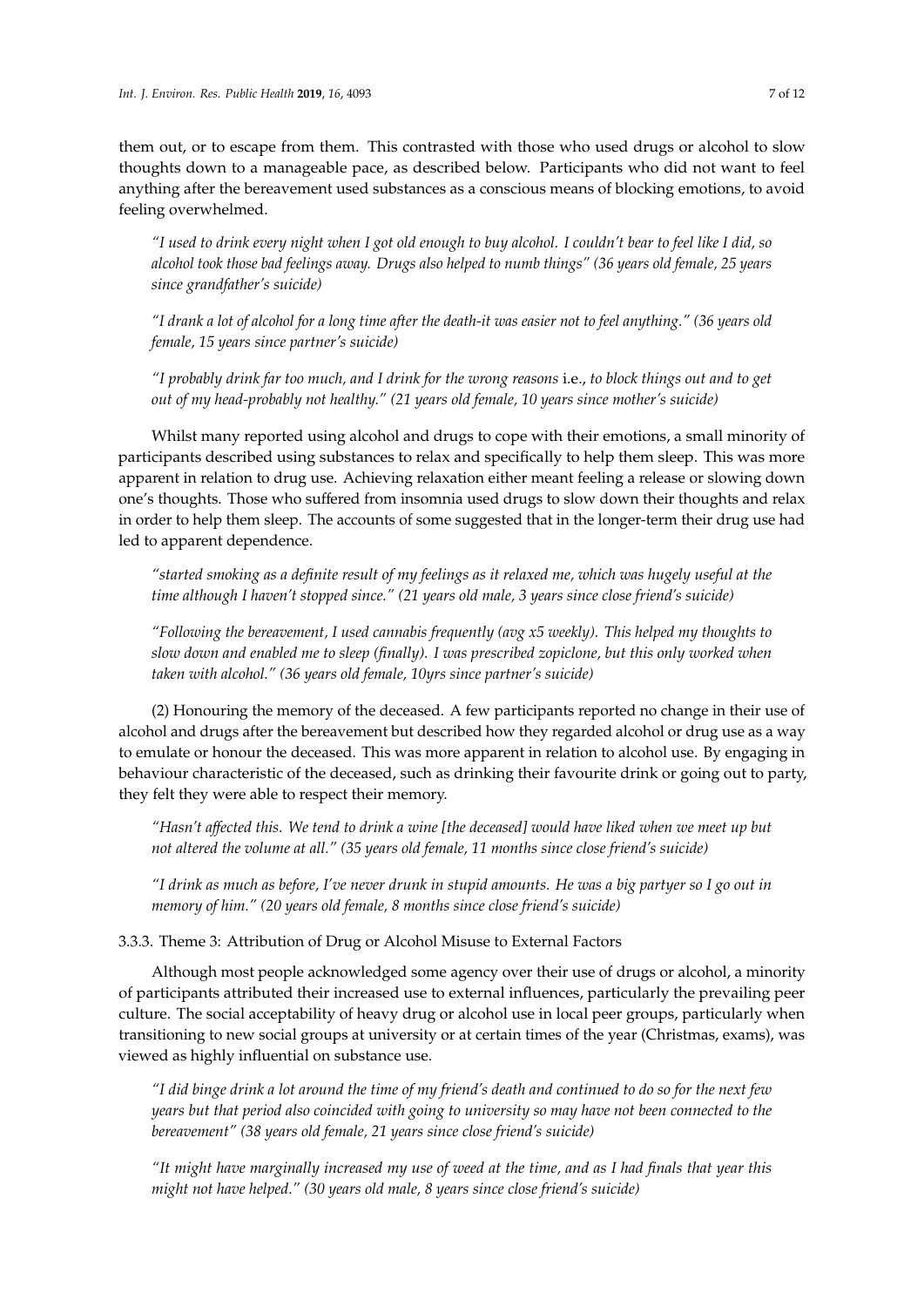them out, or to escape from them. This contrasted with those who used drugs or alcohol to slow thoughts down to a manageable pace, as described below. Participants who did not want to feel anything after the bereavement used substances as a conscious means of blocking emotions, to avoid feeling overwhelmed.

*"I used to drink every night when I got old enough to buy alcohol. I couldn't bear to feel like I did, so alcohol took those bad feelings away. Drugs also helped to numb things" (36 years old female, 25 years since grandfather's suicide)*

*"I drank a lot of alcohol for a long time after the death-it was easier not to feel anything." (36 years old female, 15 years since partner's suicide)*

*"I probably drink far too much, and I drink for the wrong reasons* i.e., *to block things out and to get out of my head-probably not healthy." (21 years old female, 10 years since mother's suicide)*

Whilst many reported using alcohol and drugs to cope with their emotions, a small minority of participants described using substances to relax and specifically to help them sleep. This was more apparent in relation to drug use. Achieving relaxation either meant feeling a release or slowing down one's thoughts. Those who suffered from insomnia used drugs to slow down their thoughts and relax in order to help them sleep. The accounts of some suggested that in the longer-term their drug use had led to apparent dependence.

*"started smoking as a definite result of my feelings as it relaxed me, which was hugely useful at the time although I haven't stopped since." (21 years old male, 3 years since close friend's suicide)*

*"Following the bereavement, I used cannabis frequently (avg x5 weekly). This helped my thoughts to slow down and enabled me to sleep (finally). I was prescribed zopiclone, but this only worked when taken with alcohol." (36 years old female, 10yrs since partner's suicide)*

(2) Honouring the memory of the deceased. A few participants reported no change in their use of alcohol and drugs after the bereavement but described how they regarded alcohol or drug use as a way to emulate or honour the deceased. This was more apparent in relation to alcohol use. By engaging in behaviour characteristic of the deceased, such as drinking their favourite drink or going out to party, they felt they were able to respect their memory.

*"Hasn't a*ff*ected this. We tend to drink a wine [the deceased] would have liked when we meet up but not altered the volume at all." (35 years old female, 11 months since close friend's suicide)*

*"I drink as much as before, I've never drunk in stupid amounts. He was a big partyer so I go out in memory of him." (20 years old female, 8 months since close friend's suicide)*

3.3.3. Theme 3: Attribution of Drug or Alcohol Misuse to External Factors

Although most people acknowledged some agency over their use of drugs or alcohol, a minority of participants attributed their increased use to external influences, particularly the prevailing peer culture. The social acceptability of heavy drug or alcohol use in local peer groups, particularly when transitioning to new social groups at university or at certain times of the year (Christmas, exams), was viewed as highly influential on substance use.

*"I did binge drink a lot around the time of my friend's death and continued to do so for the next few years but that period also coincided with going to university so may have not been connected to the bereavement" (38 years old female, 21 years since close friend's suicide)*

*"It might have marginally increased my use of weed at the time, and as I had finals that year this might not have helped." (30 years old male, 8 years since close friend's suicide)*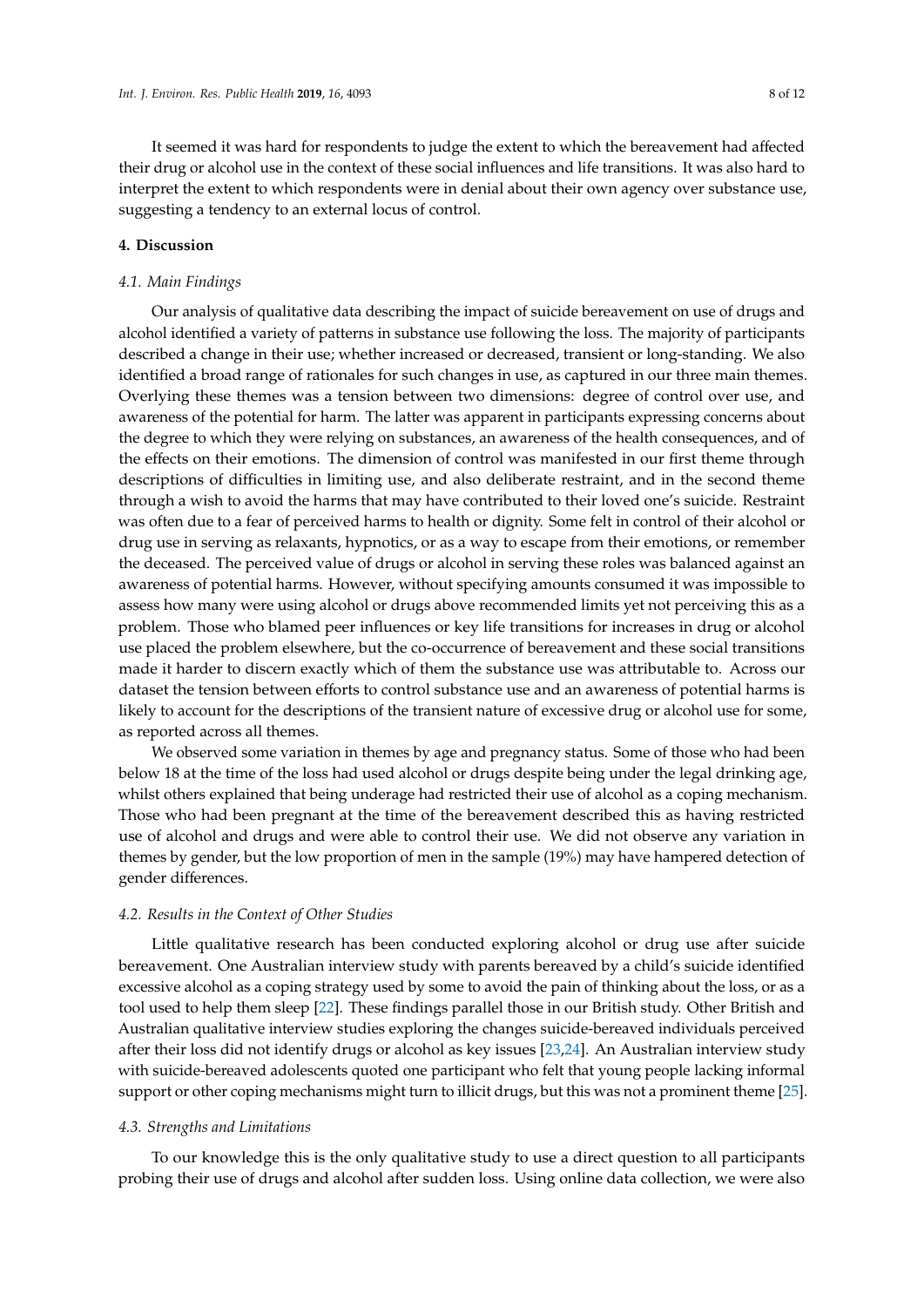It seemed it was hard for respondents to judge the extent to which the bereavement had affected their drug or alcohol use in the context of these social influences and life transitions. It was also hard to interpret the extent to which respondents were in denial about their own agency over substance use, suggesting a tendency to an external locus of control.

# **4. Discussion**

# *4.1. Main Findings*

Our analysis of qualitative data describing the impact of suicide bereavement on use of drugs and alcohol identified a variety of patterns in substance use following the loss. The majority of participants described a change in their use; whether increased or decreased, transient or long-standing. We also identified a broad range of rationales for such changes in use, as captured in our three main themes. Overlying these themes was a tension between two dimensions: degree of control over use, and awareness of the potential for harm. The latter was apparent in participants expressing concerns about the degree to which they were relying on substances, an awareness of the health consequences, and of the effects on their emotions. The dimension of control was manifested in our first theme through descriptions of difficulties in limiting use, and also deliberate restraint, and in the second theme through a wish to avoid the harms that may have contributed to their loved one's suicide. Restraint was often due to a fear of perceived harms to health or dignity. Some felt in control of their alcohol or drug use in serving as relaxants, hypnotics, or as a way to escape from their emotions, or remember the deceased. The perceived value of drugs or alcohol in serving these roles was balanced against an awareness of potential harms. However, without specifying amounts consumed it was impossible to assess how many were using alcohol or drugs above recommended limits yet not perceiving this as a problem. Those who blamed peer influences or key life transitions for increases in drug or alcohol use placed the problem elsewhere, but the co-occurrence of bereavement and these social transitions made it harder to discern exactly which of them the substance use was attributable to. Across our dataset the tension between efforts to control substance use and an awareness of potential harms is likely to account for the descriptions of the transient nature of excessive drug or alcohol use for some, as reported across all themes.

We observed some variation in themes by age and pregnancy status. Some of those who had been below 18 at the time of the loss had used alcohol or drugs despite being under the legal drinking age, whilst others explained that being underage had restricted their use of alcohol as a coping mechanism. Those who had been pregnant at the time of the bereavement described this as having restricted use of alcohol and drugs and were able to control their use. We did not observe any variation in themes by gender, but the low proportion of men in the sample (19%) may have hampered detection of gender differences.

#### *4.2. Results in the Context of Other Studies*

Little qualitative research has been conducted exploring alcohol or drug use after suicide bereavement. One Australian interview study with parents bereaved by a child's suicide identified excessive alcohol as a coping strategy used by some to avoid the pain of thinking about the loss, or as a tool used to help them sleep [\[22\]](#page-11-0). These findings parallel those in our British study. Other British and Australian qualitative interview studies exploring the changes suicide-bereaved individuals perceived after their loss did not identify drugs or alcohol as key issues [\[23](#page-11-1)[,24\]](#page-11-2). An Australian interview study with suicide-bereaved adolescents quoted one participant who felt that young people lacking informal support or other coping mechanisms might turn to illicit drugs, but this was not a prominent theme [\[25\]](#page-11-3).

# *4.3. Strengths and Limitations*

To our knowledge this is the only qualitative study to use a direct question to all participants probing their use of drugs and alcohol after sudden loss. Using online data collection, we were also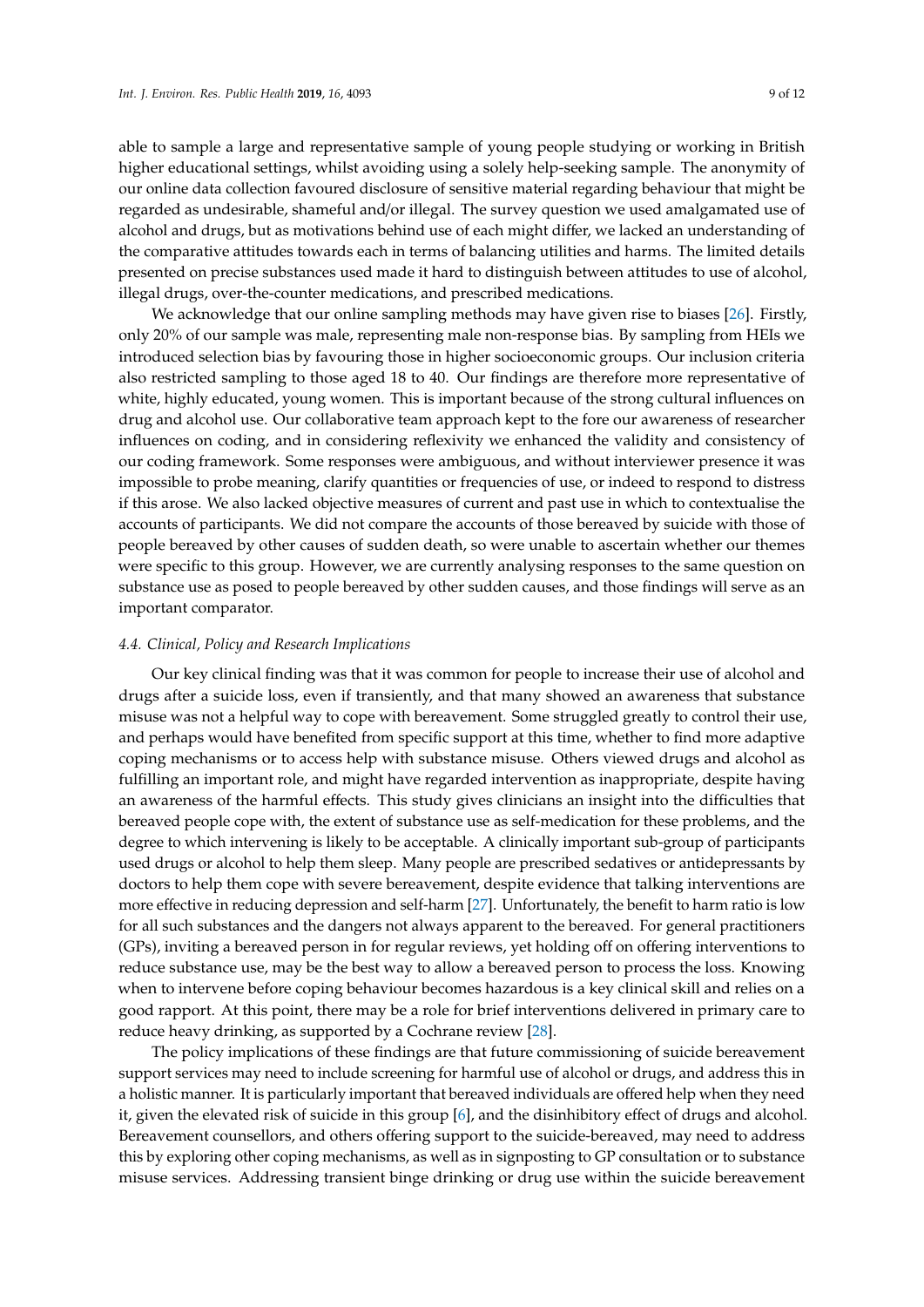able to sample a large and representative sample of young people studying or working in British higher educational settings, whilst avoiding using a solely help-seeking sample. The anonymity of our online data collection favoured disclosure of sensitive material regarding behaviour that might be regarded as undesirable, shameful and/or illegal. The survey question we used amalgamated use of alcohol and drugs, but as motivations behind use of each might differ, we lacked an understanding of the comparative attitudes towards each in terms of balancing utilities and harms. The limited details presented on precise substances used made it hard to distinguish between attitudes to use of alcohol, illegal drugs, over-the-counter medications, and prescribed medications.

We acknowledge that our online sampling methods may have given rise to biases [\[26\]](#page-11-4). Firstly, only 20% of our sample was male, representing male non-response bias. By sampling from HEIs we introduced selection bias by favouring those in higher socioeconomic groups. Our inclusion criteria also restricted sampling to those aged 18 to 40. Our findings are therefore more representative of white, highly educated, young women. This is important because of the strong cultural influences on drug and alcohol use. Our collaborative team approach kept to the fore our awareness of researcher influences on coding, and in considering reflexivity we enhanced the validity and consistency of our coding framework. Some responses were ambiguous, and without interviewer presence it was impossible to probe meaning, clarify quantities or frequencies of use, or indeed to respond to distress if this arose. We also lacked objective measures of current and past use in which to contextualise the accounts of participants. We did not compare the accounts of those bereaved by suicide with those of people bereaved by other causes of sudden death, so were unable to ascertain whether our themes were specific to this group. However, we are currently analysing responses to the same question on substance use as posed to people bereaved by other sudden causes, and those findings will serve as an important comparator.

#### *4.4. Clinical, Policy and Research Implications*

Our key clinical finding was that it was common for people to increase their use of alcohol and drugs after a suicide loss, even if transiently, and that many showed an awareness that substance misuse was not a helpful way to cope with bereavement. Some struggled greatly to control their use, and perhaps would have benefited from specific support at this time, whether to find more adaptive coping mechanisms or to access help with substance misuse. Others viewed drugs and alcohol as fulfilling an important role, and might have regarded intervention as inappropriate, despite having an awareness of the harmful effects. This study gives clinicians an insight into the difficulties that bereaved people cope with, the extent of substance use as self-medication for these problems, and the degree to which intervening is likely to be acceptable. A clinically important sub-group of participants used drugs or alcohol to help them sleep. Many people are prescribed sedatives or antidepressants by doctors to help them cope with severe bereavement, despite evidence that talking interventions are more effective in reducing depression and self-harm [\[27\]](#page-11-5). Unfortunately, the benefit to harm ratio is low for all such substances and the dangers not always apparent to the bereaved. For general practitioners (GPs), inviting a bereaved person in for regular reviews, yet holding off on offering interventions to reduce substance use, may be the best way to allow a bereaved person to process the loss. Knowing when to intervene before coping behaviour becomes hazardous is a key clinical skill and relies on a good rapport. At this point, there may be a role for brief interventions delivered in primary care to reduce heavy drinking, as supported by a Cochrane review [\[28\]](#page-11-6).

The policy implications of these findings are that future commissioning of suicide bereavement support services may need to include screening for harmful use of alcohol or drugs, and address this in a holistic manner. It is particularly important that bereaved individuals are offered help when they need it, given the elevated risk of suicide in this group [\[6\]](#page-10-5), and the disinhibitory effect of drugs and alcohol. Bereavement counsellors, and others offering support to the suicide-bereaved, may need to address this by exploring other coping mechanisms, as well as in signposting to GP consultation or to substance misuse services. Addressing transient binge drinking or drug use within the suicide bereavement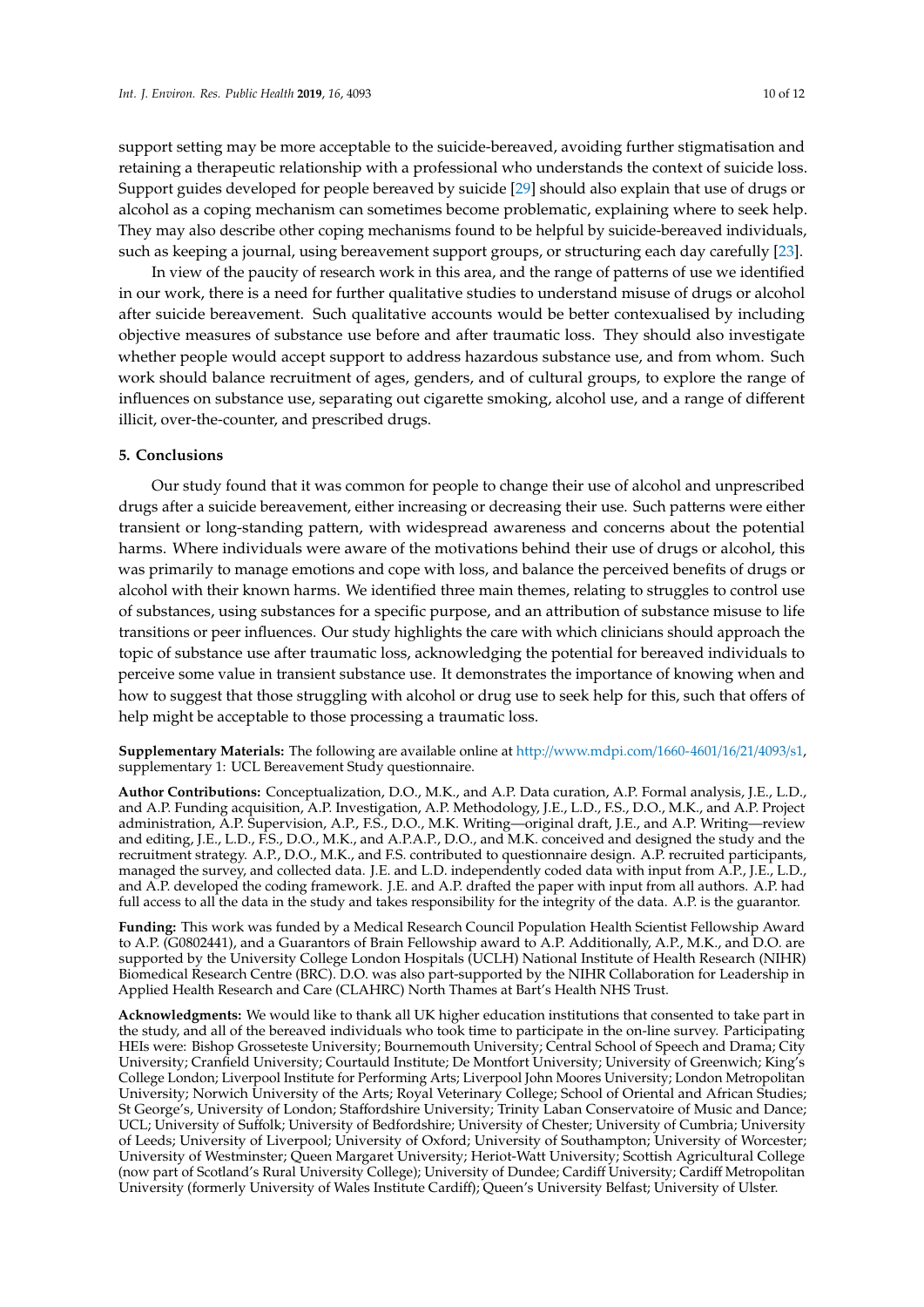support setting may be more acceptable to the suicide-bereaved, avoiding further stigmatisation and retaining a therapeutic relationship with a professional who understands the context of suicide loss. Support guides developed for people bereaved by suicide [\[29\]](#page-11-7) should also explain that use of drugs or alcohol as a coping mechanism can sometimes become problematic, explaining where to seek help. They may also describe other coping mechanisms found to be helpful by suicide-bereaved individuals, such as keeping a journal, using bereavement support groups, or structuring each day carefully [\[23\]](#page-11-1).

In view of the paucity of research work in this area, and the range of patterns of use we identified in our work, there is a need for further qualitative studies to understand misuse of drugs or alcohol after suicide bereavement. Such qualitative accounts would be better contexualised by including objective measures of substance use before and after traumatic loss. They should also investigate whether people would accept support to address hazardous substance use, and from whom. Such work should balance recruitment of ages, genders, and of cultural groups, to explore the range of influences on substance use, separating out cigarette smoking, alcohol use, and a range of different illicit, over-the-counter, and prescribed drugs.

#### **5. Conclusions**

Our study found that it was common for people to change their use of alcohol and unprescribed drugs after a suicide bereavement, either increasing or decreasing their use. Such patterns were either transient or long-standing pattern, with widespread awareness and concerns about the potential harms. Where individuals were aware of the motivations behind their use of drugs or alcohol, this was primarily to manage emotions and cope with loss, and balance the perceived benefits of drugs or alcohol with their known harms. We identified three main themes, relating to struggles to control use of substances, using substances for a specific purpose, and an attribution of substance misuse to life transitions or peer influences. Our study highlights the care with which clinicians should approach the topic of substance use after traumatic loss, acknowledging the potential for bereaved individuals to perceive some value in transient substance use. It demonstrates the importance of knowing when and how to suggest that those struggling with alcohol or drug use to seek help for this, such that offers of help might be acceptable to those processing a traumatic loss.

**Supplementary Materials:** The following are available online at http://[www.mdpi.com](http://www.mdpi.com/1660-4601/16/21/4093/s1)/1660-4601/16/21/4093/s1, supplementary 1: UCL Bereavement Study questionnaire.

**Author Contributions:** Conceptualization, D.O., M.K., and A.P. Data curation, A.P. Formal analysis, J.E., L.D., and A.P. Funding acquisition, A.P. Investigation, A.P. Methodology, J.E., L.D., F.S., D.O., M.K., and A.P. Project administration, A.P. Supervision, A.P., F.S., D.O., M.K. Writing—original draft, J.E., and A.P. Writing—review and editing, J.E., L.D., F.S., D.O., M.K., and A.P.A.P., D.O., and M.K. conceived and designed the study and the recruitment strategy. A.P., D.O., M.K., and F.S. contributed to questionnaire design. A.P. recruited participants, managed the survey, and collected data. J.E. and L.D. independently coded data with input from A.P., J.E., L.D., and A.P. developed the coding framework. J.E. and A.P. drafted the paper with input from all authors. A.P. had full access to all the data in the study and takes responsibility for the integrity of the data. A.P. is the guarantor.

**Funding:** This work was funded by a Medical Research Council Population Health Scientist Fellowship Award to A.P. (G0802441), and a Guarantors of Brain Fellowship award to A.P. Additionally, A.P., M.K., and D.O. are supported by the University College London Hospitals (UCLH) National Institute of Health Research (NIHR) Biomedical Research Centre (BRC). D.O. was also part-supported by the NIHR Collaboration for Leadership in Applied Health Research and Care (CLAHRC) North Thames at Bart's Health NHS Trust.

**Acknowledgments:** We would like to thank all UK higher education institutions that consented to take part in the study, and all of the bereaved individuals who took time to participate in the on-line survey. Participating HEIs were: Bishop Grosseteste University; Bournemouth University; Central School of Speech and Drama; City University; Cranfield University; Courtauld Institute; De Montfort University; University of Greenwich; King's College London; Liverpool Institute for Performing Arts; Liverpool John Moores University; London Metropolitan University; Norwich University of the Arts; Royal Veterinary College; School of Oriental and African Studies; St George's, University of London; Staffordshire University; Trinity Laban Conservatoire of Music and Dance; UCL; University of Suffolk; University of Bedfordshire; University of Chester; University of Cumbria; University of Leeds; University of Liverpool; University of Oxford; University of Southampton; University of Worcester; University of Westminster; Queen Margaret University; Heriot-Watt University; Scottish Agricultural College (now part of Scotland's Rural University College); University of Dundee; Cardiff University; Cardiff Metropolitan University (formerly University of Wales Institute Cardiff); Queen's University Belfast; University of Ulster.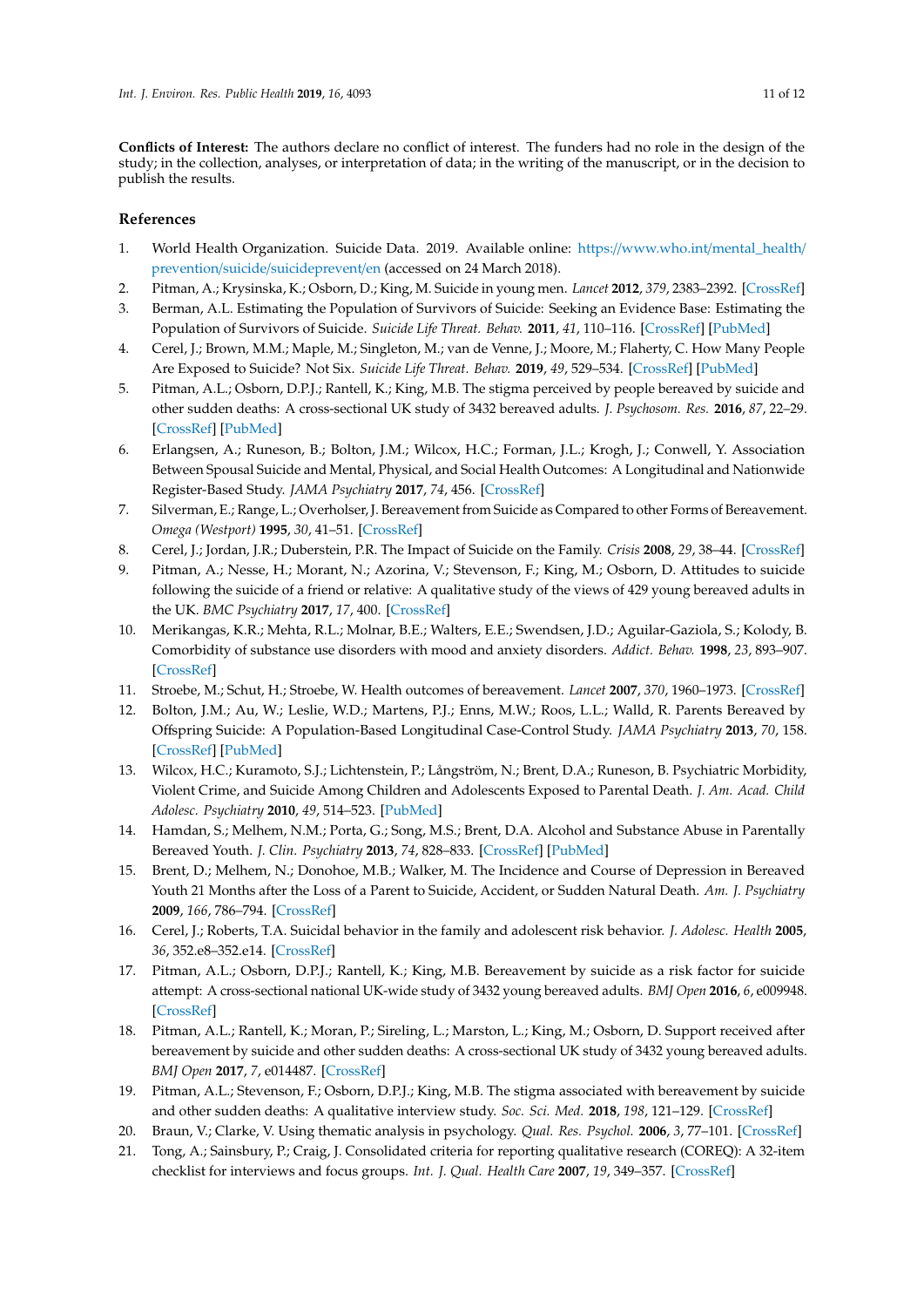**Conflicts of Interest:** The authors declare no conflict of interest. The funders had no role in the design of the study; in the collection, analyses, or interpretation of data; in the writing of the manuscript, or in the decision to publish the results.

# **References**

- <span id="page-10-0"></span>1. World Health Organization. Suicide Data. 2019. Available online: https://www.who.int/[mental\\_health](https://www.who.int/mental_health/prevention/suicide/suicideprevent/en)/ prevention/suicide/[suicideprevent](https://www.who.int/mental_health/prevention/suicide/suicideprevent/en)/en (accessed on 24 March 2018).
- <span id="page-10-1"></span>2. Pitman, A.; Krysinska, K.; Osborn, D.; King, M. Suicide in young men. *Lancet* **2012**, *379*, 2383–2392. [\[CrossRef\]](http://dx.doi.org/10.1016/S0140-6736(12)60731-4)
- <span id="page-10-2"></span>3. Berman, A.L. Estimating the Population of Survivors of Suicide: Seeking an Evidence Base: Estimating the Population of Survivors of Suicide. *Suicide Life Threat. Behav.* **2011**, *41*, 110–116. [\[CrossRef\]](http://dx.doi.org/10.1111/j.1943-278X.2010.00009.x) [\[PubMed\]](http://www.ncbi.nlm.nih.gov/pubmed/21309829)
- <span id="page-10-3"></span>4. Cerel, J.; Brown, M.M.; Maple, M.; Singleton, M.; van de Venne, J.; Moore, M.; Flaherty, C. How Many People Are Exposed to Suicide? Not Six. *Suicide Life Threat. Behav.* **2019**, *49*, 529–534. [\[CrossRef\]](http://dx.doi.org/10.1111/sltb.12450) [\[PubMed\]](http://www.ncbi.nlm.nih.gov/pubmed/29512876)
- <span id="page-10-4"></span>5. Pitman, A.L.; Osborn, D.P.J.; Rantell, K.; King, M.B. The stigma perceived by people bereaved by suicide and other sudden deaths: A cross-sectional UK study of 3432 bereaved adults. *J. Psychosom. Res.* **2016**, *87*, 22–29. [\[CrossRef\]](http://dx.doi.org/10.1016/j.jpsychores.2016.05.009) [\[PubMed\]](http://www.ncbi.nlm.nih.gov/pubmed/27411748)
- <span id="page-10-5"></span>6. Erlangsen, A.; Runeson, B.; Bolton, J.M.; Wilcox, H.C.; Forman, J.L.; Krogh, J.; Conwell, Y. Association Between Spousal Suicide and Mental, Physical, and Social Health Outcomes: A Longitudinal and Nationwide Register-Based Study. *JAMA Psychiatry* **2017**, *74*, 456. [\[CrossRef\]](http://dx.doi.org/10.1001/jamapsychiatry.2017.0226)
- <span id="page-10-6"></span>7. Silverman, E.; Range, L.; Overholser, J. Bereavement from Suicide as Compared to other Forms of Bereavement. *Omega (Westport)* **1995**, *30*, 41–51. [\[CrossRef\]](http://dx.doi.org/10.2190/BPLN-DAG8-7F07-0BKP)
- <span id="page-10-7"></span>8. Cerel, J.; Jordan, J.R.; Duberstein, P.R. The Impact of Suicide on the Family. *Crisis* **2008**, *29*, 38–44. [\[CrossRef\]](http://dx.doi.org/10.1027/0227-5910.29.1.38)
- <span id="page-10-8"></span>9. Pitman, A.; Nesse, H.; Morant, N.; Azorina, V.; Stevenson, F.; King, M.; Osborn, D. Attitudes to suicide following the suicide of a friend or relative: A qualitative study of the views of 429 young bereaved adults in the UK. *BMC Psychiatry* **2017**, *17*, 400. [\[CrossRef\]](http://dx.doi.org/10.1186/s12888-017-1560-3)
- <span id="page-10-9"></span>10. Merikangas, K.R.; Mehta, R.L.; Molnar, B.E.; Walters, E.E.; Swendsen, J.D.; Aguilar-Gaziola, S.; Kolody, B. Comorbidity of substance use disorders with mood and anxiety disorders. *Addict. Behav.* **1998**, *23*, 893–907. [\[CrossRef\]](http://dx.doi.org/10.1016/S0306-4603(98)00076-8)
- <span id="page-10-10"></span>11. Stroebe, M.; Schut, H.; Stroebe, W. Health outcomes of bereavement. *Lancet* **2007**, *370*, 1960–1973. [\[CrossRef\]](http://dx.doi.org/10.1016/S0140-6736(07)61816-9)
- <span id="page-10-11"></span>12. Bolton, J.M.; Au, W.; Leslie, W.D.; Martens, P.J.; Enns, M.W.; Roos, L.L.; Walld, R. Parents Bereaved by Offspring Suicide: A Population-Based Longitudinal Case-Control Study. *JAMA Psychiatry* **2013**, *70*, 158. [\[CrossRef\]](http://dx.doi.org/10.1001/jamapsychiatry.2013.275) [\[PubMed\]](http://www.ncbi.nlm.nih.gov/pubmed/23229880)
- <span id="page-10-12"></span>13. Wilcox, H.C.; Kuramoto, S.J.; Lichtenstein, P.; Långström, N.; Brent, D.A.; Runeson, B. Psychiatric Morbidity, Violent Crime, and Suicide Among Children and Adolescents Exposed to Parental Death. *J. Am. Acad. Child Adolesc. Psychiatry* **2010**, *49*, 514–523. [\[PubMed\]](http://www.ncbi.nlm.nih.gov/pubmed/20431471)
- <span id="page-10-13"></span>14. Hamdan, S.; Melhem, N.M.; Porta, G.; Song, M.S.; Brent, D.A. Alcohol and Substance Abuse in Parentally Bereaved Youth. *J. Clin. Psychiatry* **2013**, *74*, 828–833. [\[CrossRef\]](http://dx.doi.org/10.4088/JCP.13m08391) [\[PubMed\]](http://www.ncbi.nlm.nih.gov/pubmed/24021502)
- <span id="page-10-14"></span>15. Brent, D.; Melhem, N.; Donohoe, M.B.; Walker, M. The Incidence and Course of Depression in Bereaved Youth 21 Months after the Loss of a Parent to Suicide, Accident, or Sudden Natural Death. *Am. J. Psychiatry* **2009**, *166*, 786–794. [\[CrossRef\]](http://dx.doi.org/10.1176/appi.ajp.2009.08081244)
- <span id="page-10-15"></span>16. Cerel, J.; Roberts, T.A. Suicidal behavior in the family and adolescent risk behavior. *J. Adolesc. Health* **2005**, *36*, 352.e8–352.e14. [\[CrossRef\]](http://dx.doi.org/10.1016/j.jadohealth.2004.08.010)
- <span id="page-10-16"></span>17. Pitman, A.L.; Osborn, D.P.J.; Rantell, K.; King, M.B. Bereavement by suicide as a risk factor for suicide attempt: A cross-sectional national UK-wide study of 3432 young bereaved adults. *BMJ Open* **2016**, *6*, e009948. [\[CrossRef\]](http://dx.doi.org/10.1136/bmjopen-2015-009948)
- 18. Pitman, A.L.; Rantell, K.; Moran, P.; Sireling, L.; Marston, L.; King, M.; Osborn, D. Support received after bereavement by suicide and other sudden deaths: A cross-sectional UK study of 3432 young bereaved adults. *BMJ Open* **2017**, *7*, e014487. [\[CrossRef\]](http://dx.doi.org/10.1136/bmjopen-2016-014487)
- <span id="page-10-17"></span>19. Pitman, A.L.; Stevenson, F.; Osborn, D.P.J.; King, M.B. The stigma associated with bereavement by suicide and other sudden deaths: A qualitative interview study. *Soc. Sci. Med.* **2018**, *198*, 121–129. [\[CrossRef\]](http://dx.doi.org/10.1016/j.socscimed.2017.12.035)
- <span id="page-10-18"></span>20. Braun, V.; Clarke, V. Using thematic analysis in psychology. *Qual. Res. Psychol.* **2006**, *3*, 77–101. [\[CrossRef\]](http://dx.doi.org/10.1191/1478088706qp063oa)
- <span id="page-10-19"></span>21. Tong, A.; Sainsbury, P.; Craig, J. Consolidated criteria for reporting qualitative research (COREQ): A 32-item checklist for interviews and focus groups. *Int. J. Qual. Health Care* **2007**, *19*, 349–357. [\[CrossRef\]](http://dx.doi.org/10.1093/intqhc/mzm042)